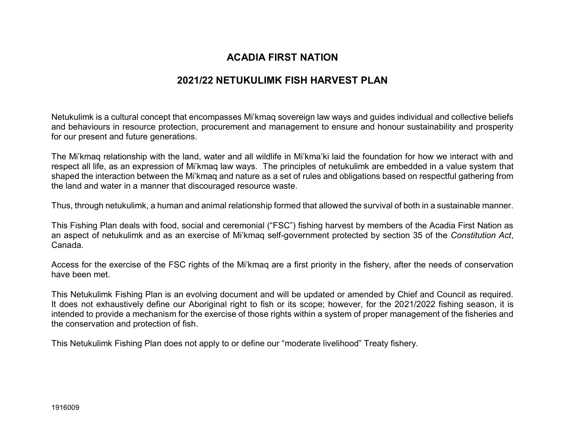# **ACADIA FIRST NATION**

# **2021/22 NETUKULIMK FISH HARVEST PLAN**

Netukulimk is a cultural concept that encompasses Mi'kmaq sovereign law ways and guides individual and collective beliefs and behaviours in resource protection, procurement and management to ensure and honour sustainability and prosperity for our present and future generations.

The Mi'kmaq relationship with the land, water and all wildlife in Mi'kma'ki laid the foundation for how we interact with and respect all life, as an expression of Mi'kmaq law ways. The principles of netukulimk are embedded in a value system that shaped the interaction between the Mi'kmaq and nature as a set of rules and obligations based on respectful gathering from the land and water in a manner that discouraged resource waste.

Thus, through netukulimk, a human and animal relationship formed that allowed the survival of both in a sustainable manner.

This Fishing Plan deals with food, social and ceremonial ("FSC") fishing harvest by members of the Acadia First Nation as an aspect of netukulimk and as an exercise of Mi'kmaq self-government protected by section 35 of the *Constitution Act*, Canada.

Access for the exercise of the FSC rights of the Mi'kmaq are a first priority in the fishery, after the needs of conservation have been met.

This Netukulimk Fishing Plan is an evolving document and will be updated or amended by Chief and Council as required. It does not exhaustively define our Aboriginal right to fish or its scope; however, for the 2021/2022 fishing season, it is intended to provide a mechanism for the exercise of those rights within a system of proper management of the fisheries and the conservation and protection of fish.

This Netukulimk Fishing Plan does not apply to or define our "moderate livelihood" Treaty fishery.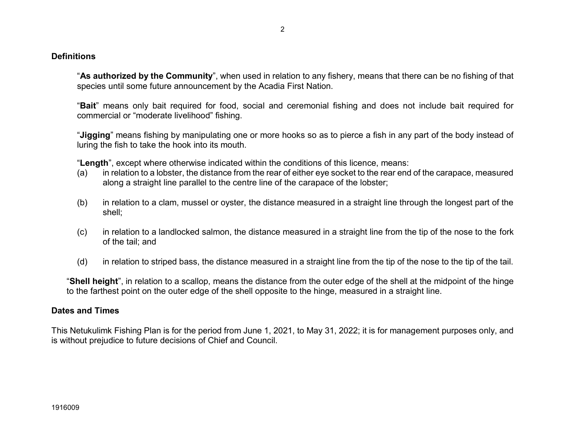#### **Definitions**

"**As authorized by the Community**", when used in relation to any fishery, means that there can be no fishing of that species until some future announcement by the Acadia First Nation.

"**Bait**" means only bait required for food, social and ceremonial fishing and does not include bait required for commercial or "moderate livelihood" fishing.

"**Jigging**" means fishing by manipulating one or more hooks so as to pierce a fish in any part of the body instead of luring the fish to take the hook into its mouth.

"**Length**", except where otherwise indicated within the conditions of this licence, means:

- (a) in relation to a lobster, the distance from the rear of either eye socket to the rear end of the carapace, measured along a straight line parallel to the centre line of the carapace of the lobster;
- (b) in relation to a clam, mussel or oyster, the distance measured in a straight line through the longest part of the shell;
- (c) in relation to a landlocked salmon, the distance measured in a straight line from the tip of the nose to the fork of the tail; and
- (d) in relation to striped bass, the distance measured in a straight line from the tip of the nose to the tip of the tail.

"**Shell height**", in relation to a scallop, means the distance from the outer edge of the shell at the midpoint of the hinge to the farthest point on the outer edge of the shell opposite to the hinge, measured in a straight line.

#### **Dates and Times**

This Netukulimk Fishing Plan is for the period from June 1, 2021, to May 31, 2022; it is for management purposes only, and is without prejudice to future decisions of Chief and Council.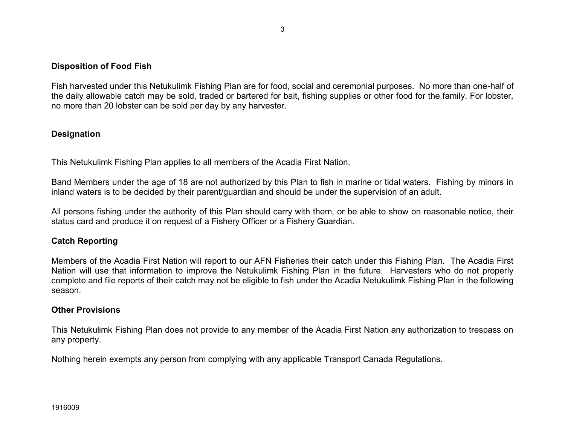### **Disposition of Food Fish**

Fish harvested under this Netukulimk Fishing Plan are for food, social and ceremonial purposes. No more than one-half of the daily allowable catch may be sold, traded or bartered for bait, fishing supplies or other food for the family. For lobster, no more than 20 lobster can be sold per day by any harvester.

### **Designation**

This Netukulimk Fishing Plan applies to all members of the Acadia First Nation.

Band Members under the age of 18 are not authorized by this Plan to fish in marine or tidal waters. Fishing by minors in inland waters is to be decided by their parent/guardian and should be under the supervision of an adult.

All persons fishing under the authority of this Plan should carry with them, or be able to show on reasonable notice, their status card and produce it on request of a Fishery Officer or a Fishery Guardian.

### **Catch Reporting**

Members of the Acadia First Nation will report to our AFN Fisheries their catch under this Fishing Plan. The Acadia First Nation will use that information to improve the Netukulimk Fishing Plan in the future. Harvesters who do not properly complete and file reports of their catch may not be eligible to fish under the Acadia Netukulimk Fishing Plan in the following season.

### **Other Provisions**

This Netukulimk Fishing Plan does not provide to any member of the Acadia First Nation any authorization to trespass on any property.

Nothing herein exempts any person from complying with any applicable Transport Canada Regulations.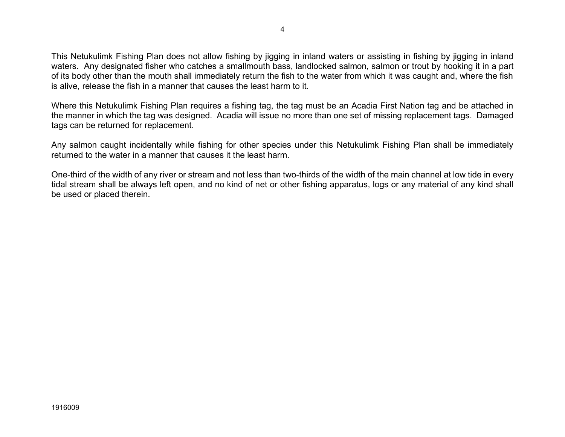This Netukulimk Fishing Plan does not allow fishing by jigging in inland waters or assisting in fishing by jigging in inland waters. Any designated fisher who catches a smallmouth bass, landlocked salmon, salmon or trout by hooking it in a part of its body other than the mouth shall immediately return the fish to the water from which it was caught and, where the fish is alive, release the fish in a manner that causes the least harm to it.

Where this Netukulimk Fishing Plan requires a fishing tag, the tag must be an Acadia First Nation tag and be attached in the manner in which the tag was designed. Acadia will issue no more than one set of missing replacement tags. Damaged tags can be returned for replacement.

Any salmon caught incidentally while fishing for other species under this Netukulimk Fishing Plan shall be immediately returned to the water in a manner that causes it the least harm.

One-third of the width of any river or stream and not less than two-thirds of the width of the main channel at low tide in every tidal stream shall be always left open, and no kind of net or other fishing apparatus, logs or any material of any kind shall be used or placed therein.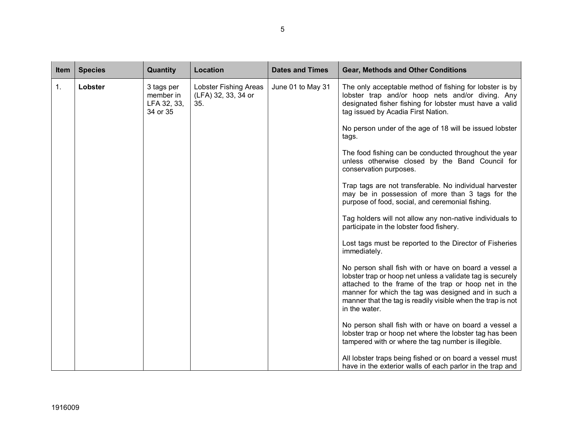| Item | <b>Species</b> | Quantity                                           | Location                                                   | <b>Dates and Times</b> | <b>Gear, Methods and Other Conditions</b>                                                                                                                                                                                                                                                                          |
|------|----------------|----------------------------------------------------|------------------------------------------------------------|------------------------|--------------------------------------------------------------------------------------------------------------------------------------------------------------------------------------------------------------------------------------------------------------------------------------------------------------------|
| 1.   | Lobster        | 3 tags per<br>member in<br>LFA 32, 33,<br>34 or 35 | <b>Lobster Fishing Areas</b><br>(LFA) 32, 33, 34 or<br>35. | June 01 to May 31      | The only acceptable method of fishing for lobster is by<br>lobster trap and/or hoop nets and/or diving. Any<br>designated fisher fishing for lobster must have a valid<br>tag issued by Acadia First Nation.                                                                                                       |
|      |                |                                                    |                                                            |                        | No person under of the age of 18 will be issued lobster<br>tags.                                                                                                                                                                                                                                                   |
|      |                |                                                    |                                                            |                        | The food fishing can be conducted throughout the year<br>unless otherwise closed by the Band Council for<br>conservation purposes.                                                                                                                                                                                 |
|      |                |                                                    |                                                            |                        | Trap tags are not transferable. No individual harvester<br>may be in possession of more than 3 tags for the<br>purpose of food, social, and ceremonial fishing.                                                                                                                                                    |
|      |                |                                                    |                                                            |                        | Tag holders will not allow any non-native individuals to<br>participate in the lobster food fishery.                                                                                                                                                                                                               |
|      |                |                                                    |                                                            |                        | Lost tags must be reported to the Director of Fisheries<br>immediately.                                                                                                                                                                                                                                            |
|      |                |                                                    |                                                            |                        | No person shall fish with or have on board a vessel a<br>lobster trap or hoop net unless a validate tag is securely<br>attached to the frame of the trap or hoop net in the<br>manner for which the tag was designed and in such a<br>manner that the tag is readily visible when the trap is not<br>in the water. |
|      |                |                                                    |                                                            |                        | No person shall fish with or have on board a vessel a<br>lobster trap or hoop net where the lobster tag has been<br>tampered with or where the tag number is illegible.                                                                                                                                            |
|      |                |                                                    |                                                            |                        | All lobster traps being fished or on board a vessel must<br>have in the exterior walls of each parlor in the trap and                                                                                                                                                                                              |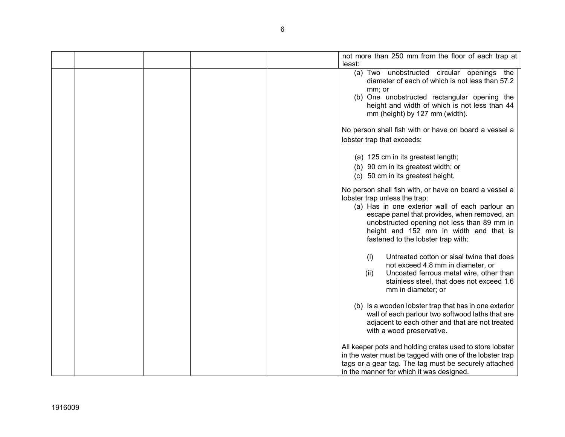|  | not more than 250 mm from the floor of each trap at<br>least:                                                                                                                                                                                                                                                             |
|--|---------------------------------------------------------------------------------------------------------------------------------------------------------------------------------------------------------------------------------------------------------------------------------------------------------------------------|
|  | (a) Two unobstructed circular openings the<br>diameter of each of which is not less than 57.2<br>mm; or<br>(b) One unobstructed rectangular opening the<br>height and width of which is not less than 44<br>mm (height) by 127 mm (width).                                                                                |
|  | No person shall fish with or have on board a vessel a<br>lobster trap that exceeds:                                                                                                                                                                                                                                       |
|  | (a) 125 cm in its greatest length;<br>(b) 90 cm in its greatest width; or<br>(c) 50 cm in its greatest height.                                                                                                                                                                                                            |
|  | No person shall fish with, or have on board a vessel a<br>lobster trap unless the trap:<br>(a) Has in one exterior wall of each parlour an<br>escape panel that provides, when removed, an<br>unobstructed opening not less than 89 mm in<br>height and 152 mm in width and that is<br>fastened to the lobster trap with: |
|  | Untreated cotton or sisal twine that does<br>(i)<br>not exceed 4.8 mm in diameter, or<br>Uncoated ferrous metal wire, other than<br>(ii)<br>stainless steel, that does not exceed 1.6<br>mm in diameter; or                                                                                                               |
|  | (b) Is a wooden lobster trap that has in one exterior<br>wall of each parlour two softwood laths that are<br>adjacent to each other and that are not treated<br>with a wood preservative.                                                                                                                                 |
|  | All keeper pots and holding crates used to store lobster<br>in the water must be tagged with one of the lobster trap<br>tags or a gear tag. The tag must be securely attached<br>in the manner for which it was designed.                                                                                                 |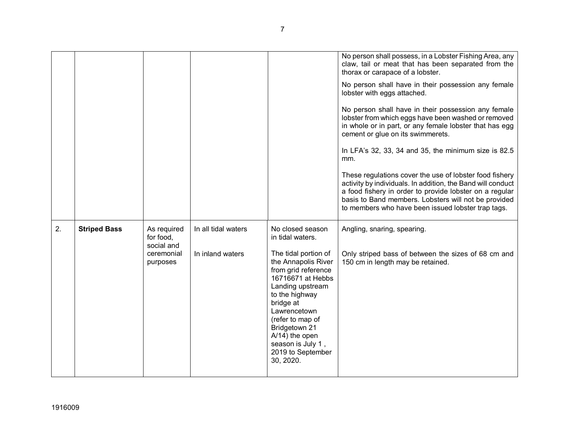|    |                     |                                                                  |                                         |                                                                                                                                                                                                                                                                                                                     | No person shall possess, in a Lobster Fishing Area, any<br>claw, tail or meat that has been separated from the<br>thorax or carapace of a lobster.<br>No person shall have in their possession any female<br>lobster with eggs attached.<br>No person shall have in their possession any female<br>lobster from which eggs have been washed or removed<br>in whole or in part, or any female lobster that has egg<br>cement or glue on its swimmerets.<br>In LFA's 32, 33, 34 and 35, the minimum size is 82.5<br>mm.<br>These regulations cover the use of lobster food fishery<br>activity by individuals. In addition, the Band will conduct<br>a food fishery in order to provide lobster on a regular<br>basis to Band members. Lobsters will not be provided<br>to members who have been issued lobster trap tags. |
|----|---------------------|------------------------------------------------------------------|-----------------------------------------|---------------------------------------------------------------------------------------------------------------------------------------------------------------------------------------------------------------------------------------------------------------------------------------------------------------------|--------------------------------------------------------------------------------------------------------------------------------------------------------------------------------------------------------------------------------------------------------------------------------------------------------------------------------------------------------------------------------------------------------------------------------------------------------------------------------------------------------------------------------------------------------------------------------------------------------------------------------------------------------------------------------------------------------------------------------------------------------------------------------------------------------------------------|
| 2. | <b>Striped Bass</b> | As required<br>for food,<br>social and<br>ceremonial<br>purposes | In all tidal waters<br>In inland waters | No closed season<br>in tidal waters.<br>The tidal portion of<br>the Annapolis River<br>from grid reference<br>16716671 at Hebbs<br>Landing upstream<br>to the highway<br>bridge at<br>Lawrencetown<br>(refer to map of<br>Bridgetown 21<br>$A/14$ ) the open<br>season is July 1,<br>2019 to September<br>30, 2020. | Angling, snaring, spearing.<br>Only striped bass of between the sizes of 68 cm and<br>150 cm in length may be retained.                                                                                                                                                                                                                                                                                                                                                                                                                                                                                                                                                                                                                                                                                                  |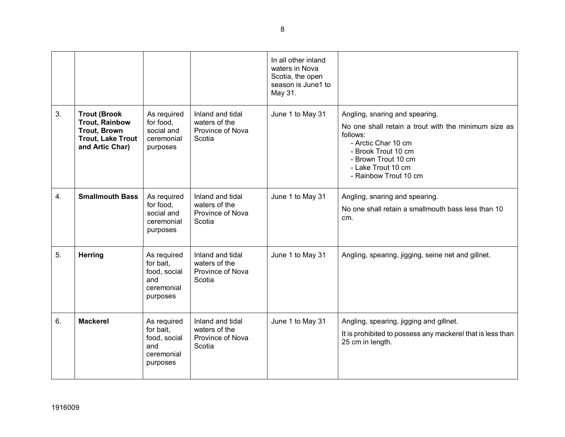|    |                                                                                                                    |                                                                           |                                                                 | In all other inland<br>waters in Nova<br>Scotia, the open<br>season is June1 to<br>May 31. |                                                                                                                                                                                                                        |
|----|--------------------------------------------------------------------------------------------------------------------|---------------------------------------------------------------------------|-----------------------------------------------------------------|--------------------------------------------------------------------------------------------|------------------------------------------------------------------------------------------------------------------------------------------------------------------------------------------------------------------------|
| 3. | <b>Trout (Brook</b><br><b>Trout, Rainbow</b><br><b>Trout, Brown</b><br><b>Trout, Lake Trout</b><br>and Artic Char) | As required<br>for food,<br>social and<br>ceremonial<br>purposes          | Inland and tidal<br>waters of the<br>Province of Nova<br>Scotia | June 1 to May 31                                                                           | Angling, snaring and spearing.<br>No one shall retain a trout with the minimum size as<br>follows:<br>- Arctic Char 10 cm<br>- Brook Trout 10 cm<br>- Brown Trout 10 cm<br>- Lake Trout 10 cm<br>- Rainbow Trout 10 cm |
| 4. | <b>Smallmouth Bass</b>                                                                                             | As required<br>for food,<br>social and<br>ceremonial<br>purposes          | Inland and tidal<br>waters of the<br>Province of Nova<br>Scotia | June 1 to May 31                                                                           | Angling, snaring and spearing.<br>No one shall retain a smallmouth bass less than 10<br>cm.                                                                                                                            |
| 5. | <b>Herring</b>                                                                                                     | As required<br>for bait,<br>food, social<br>and<br>ceremonial<br>purposes | Inland and tidal<br>waters of the<br>Province of Nova<br>Scotia | June 1 to May 31                                                                           | Angling, spearing, jigging, seine net and gillnet.                                                                                                                                                                     |
| 6. | <b>Mackerel</b>                                                                                                    | As required<br>for bait.<br>food, social<br>and<br>ceremonial<br>purposes | Inland and tidal<br>waters of the<br>Province of Nova<br>Scotia | June 1 to May 31                                                                           | Angling, spearing, jigging and gillnet.<br>It is prohibited to possess any mackerel that is less than<br>25 cm in length.                                                                                              |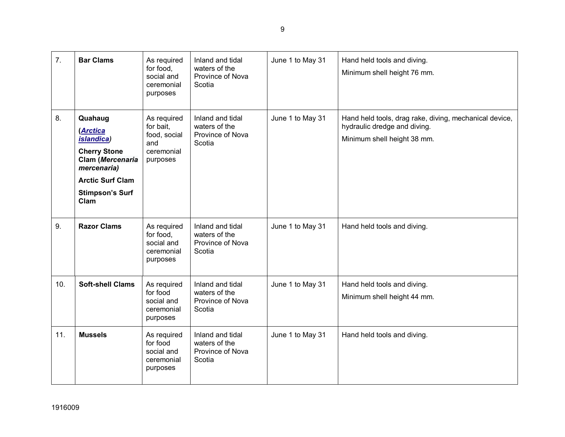| 7.  | <b>Bar Clams</b>                                                                                                                                                 | As required<br>for food,<br>social and<br>ceremonial<br>purposes          | Inland and tidal<br>waters of the<br>Province of Nova<br>Scotia | June 1 to May 31 | Hand held tools and diving.<br>Minimum shell height 76 mm.                                                            |
|-----|------------------------------------------------------------------------------------------------------------------------------------------------------------------|---------------------------------------------------------------------------|-----------------------------------------------------------------|------------------|-----------------------------------------------------------------------------------------------------------------------|
| 8.  | Quahaug<br>(Arctica<br><i>islandica</i> )<br><b>Cherry Stone</b><br>Clam (Mercenaria<br>mercenaria)<br><b>Arctic Surf Clam</b><br><b>Stimpson's Surf</b><br>Clam | As required<br>for bait,<br>food, social<br>and<br>ceremonial<br>purposes | Inland and tidal<br>waters of the<br>Province of Nova<br>Scotia | June 1 to May 31 | Hand held tools, drag rake, diving, mechanical device,<br>hydraulic dredge and diving.<br>Minimum shell height 38 mm. |
| 9.  | <b>Razor Clams</b>                                                                                                                                               | As required<br>for food,<br>social and<br>ceremonial<br>purposes          | Inland and tidal<br>waters of the<br>Province of Nova<br>Scotia | June 1 to May 31 | Hand held tools and diving.                                                                                           |
| 10. | <b>Soft-shell Clams</b>                                                                                                                                          | As required<br>for food<br>social and<br>ceremonial<br>purposes           | Inland and tidal<br>waters of the<br>Province of Nova<br>Scotia | June 1 to May 31 | Hand held tools and diving.<br>Minimum shell height 44 mm.                                                            |
| 11. | <b>Mussels</b>                                                                                                                                                   | As required<br>for food<br>social and<br>ceremonial<br>purposes           | Inland and tidal<br>waters of the<br>Province of Nova<br>Scotia | June 1 to May 31 | Hand held tools and diving.                                                                                           |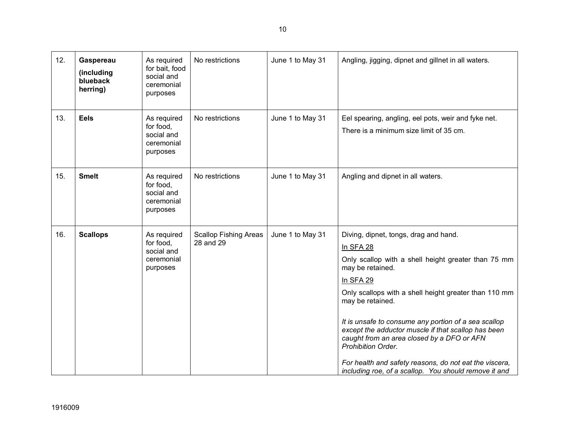| 12. | Gaspereau<br>(including<br>blueback<br>herring) | As required<br>for bait, food<br>social and<br>ceremonial<br>purposes | No restrictions                           | June 1 to May 31 | Angling, jigging, dipnet and gillnet in all waters.                                                                                                                                                                                                                                                                                                                                                                                                                                                                           |
|-----|-------------------------------------------------|-----------------------------------------------------------------------|-------------------------------------------|------------------|-------------------------------------------------------------------------------------------------------------------------------------------------------------------------------------------------------------------------------------------------------------------------------------------------------------------------------------------------------------------------------------------------------------------------------------------------------------------------------------------------------------------------------|
| 13. | <b>Eels</b>                                     | As required<br>for food,<br>social and<br>ceremonial<br>purposes      | No restrictions                           | June 1 to May 31 | Eel spearing, angling, eel pots, weir and fyke net.<br>There is a minimum size limit of 35 cm.                                                                                                                                                                                                                                                                                                                                                                                                                                |
| 15. | <b>Smelt</b>                                    | As required<br>for food,<br>social and<br>ceremonial<br>purposes      | No restrictions                           | June 1 to May 31 | Angling and dipnet in all waters.                                                                                                                                                                                                                                                                                                                                                                                                                                                                                             |
| 16. | <b>Scallops</b>                                 | As required<br>for food,<br>social and<br>ceremonial<br>purposes      | <b>Scallop Fishing Areas</b><br>28 and 29 | June 1 to May 31 | Diving, dipnet, tongs, drag and hand.<br>In SFA 28<br>Only scallop with a shell height greater than 75 mm<br>may be retained.<br>In SFA 29<br>Only scallops with a shell height greater than 110 mm<br>may be retained.<br>It is unsafe to consume any portion of a sea scallop<br>except the adductor muscle if that scallop has been<br>caught from an area closed by a DFO or AFN<br>Prohibition Order.<br>For health and safety reasons, do not eat the viscera,<br>including roe, of a scallop. You should remove it and |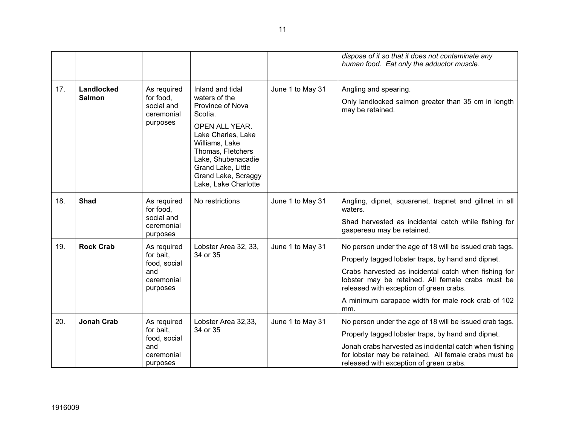|     |                             |                                                                           |                                                                                                                                                                                                                                            |                  | dispose of it so that it does not contaminate any<br>human food. Eat only the adductor muscle.                                                                                                                                                                                                                                     |
|-----|-----------------------------|---------------------------------------------------------------------------|--------------------------------------------------------------------------------------------------------------------------------------------------------------------------------------------------------------------------------------------|------------------|------------------------------------------------------------------------------------------------------------------------------------------------------------------------------------------------------------------------------------------------------------------------------------------------------------------------------------|
| 17. | Landlocked<br><b>Salmon</b> | As required<br>for food,<br>social and<br>ceremonial<br>purposes          | Inland and tidal<br>waters of the<br>Province of Nova<br>Scotia.<br>OPEN ALL YEAR.<br>Lake Charles, Lake<br>Williams, Lake<br>Thomas, Fletchers<br>Lake, Shubenacadie<br>Grand Lake, Little<br>Grand Lake, Scraggy<br>Lake, Lake Charlotte | June 1 to May 31 | Angling and spearing.<br>Only landlocked salmon greater than 35 cm in length<br>may be retained.                                                                                                                                                                                                                                   |
| 18. | <b>Shad</b>                 | As required<br>for food,<br>social and<br>ceremonial<br>purposes          | No restrictions                                                                                                                                                                                                                            | June 1 to May 31 | Angling, dipnet, squarenet, trapnet and gillnet in all<br>waters.<br>Shad harvested as incidental catch while fishing for<br>gaspereau may be retained.                                                                                                                                                                            |
| 19. | <b>Rock Crab</b>            | As required<br>for bait,<br>food, social<br>and<br>ceremonial<br>purposes | Lobster Area 32, 33,<br>34 or 35                                                                                                                                                                                                           | June 1 to May 31 | No person under the age of 18 will be issued crab tags.<br>Properly tagged lobster traps, by hand and dipnet.<br>Crabs harvested as incidental catch when fishing for<br>lobster may be retained. All female crabs must be<br>released with exception of green crabs.<br>A minimum carapace width for male rock crab of 102<br>mm. |
| 20. | <b>Jonah Crab</b>           | As required<br>for bait,<br>food, social<br>and<br>ceremonial<br>purposes | Lobster Area 32,33,<br>34 or 35                                                                                                                                                                                                            | June 1 to May 31 | No person under the age of 18 will be issued crab tags.<br>Properly tagged lobster traps, by hand and dipnet.<br>Jonah crabs harvested as incidental catch when fishing<br>for lobster may be retained. All female crabs must be<br>released with exception of green crabs.                                                        |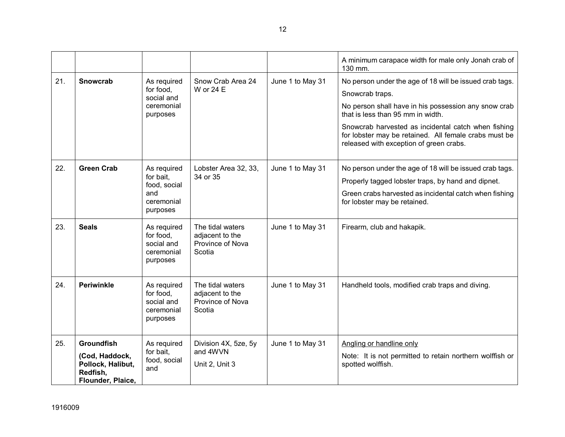|     |                                                                                           |                                                                           |                                                                   |                  | A minimum carapace width for male only Jonah crab of<br>130 mm.                                                                                                                                                                                                                                                                    |
|-----|-------------------------------------------------------------------------------------------|---------------------------------------------------------------------------|-------------------------------------------------------------------|------------------|------------------------------------------------------------------------------------------------------------------------------------------------------------------------------------------------------------------------------------------------------------------------------------------------------------------------------------|
| 21. | <b>Snowcrab</b>                                                                           | As required<br>for food,<br>social and<br>ceremonial<br>purposes          | Snow Crab Area 24<br>W or 24 E                                    | June 1 to May 31 | No person under the age of 18 will be issued crab tags.<br>Snowcrab traps.<br>No person shall have in his possession any snow crab<br>that is less than 95 mm in width.<br>Snowcrab harvested as incidental catch when fishing<br>for lobster may be retained. All female crabs must be<br>released with exception of green crabs. |
| 22. | <b>Green Crab</b>                                                                         | As required<br>for bait,<br>food, social<br>and<br>ceremonial<br>purposes | Lobster Area 32, 33,<br>34 or 35                                  | June 1 to May 31 | No person under the age of 18 will be issued crab tags.<br>Properly tagged lobster traps, by hand and dipnet.<br>Green crabs harvested as incidental catch when fishing<br>for lobster may be retained.                                                                                                                            |
| 23. | <b>Seals</b>                                                                              | As required<br>for food,<br>social and<br>ceremonial<br>purposes          | The tidal waters<br>adjacent to the<br>Province of Nova<br>Scotia | June 1 to May 31 | Firearm, club and hakapik.                                                                                                                                                                                                                                                                                                         |
| 24. | <b>Periwinkle</b>                                                                         | As required<br>for food,<br>social and<br>ceremonial<br>purposes          | The tidal waters<br>adjacent to the<br>Province of Nova<br>Scotia | June 1 to May 31 | Handheld tools, modified crab traps and diving.                                                                                                                                                                                                                                                                                    |
| 25. | <b>Groundfish</b><br>(Cod, Haddock,<br>Pollock, Halibut,<br>Redfish,<br>Flounder, Plaice, | As required<br>for bait.<br>food, social<br>and                           | Division 4X, 5ze, 5y<br>and 4WVN<br>Unit 2, Unit 3                | June 1 to May 31 | Angling or handline only<br>Note: It is not permitted to retain northern wolffish or<br>spotted wolffish.                                                                                                                                                                                                                          |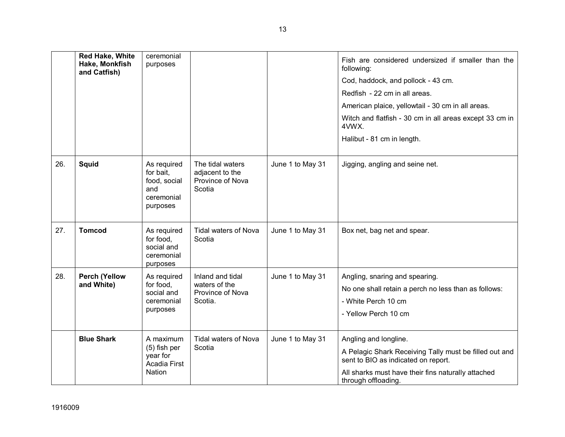|     | <b>Red Hake, White</b><br>Hake, Monkfish<br>and Catfish) | ceremonial<br>purposes                                                    |                                                                   |                  | Fish are considered undersized if smaller than the<br>following:                                                                                                                                    |
|-----|----------------------------------------------------------|---------------------------------------------------------------------------|-------------------------------------------------------------------|------------------|-----------------------------------------------------------------------------------------------------------------------------------------------------------------------------------------------------|
|     |                                                          |                                                                           |                                                                   |                  | Cod, haddock, and pollock - 43 cm.                                                                                                                                                                  |
|     |                                                          |                                                                           |                                                                   |                  | Redfish - 22 cm in all areas.                                                                                                                                                                       |
|     |                                                          |                                                                           |                                                                   |                  | American plaice, yellowtail - 30 cm in all areas.                                                                                                                                                   |
|     |                                                          |                                                                           |                                                                   |                  | Witch and flatfish - 30 cm in all areas except 33 cm in<br>4VWX.                                                                                                                                    |
|     |                                                          |                                                                           |                                                                   |                  | Halibut - 81 cm in length.                                                                                                                                                                          |
| 26. | <b>Squid</b>                                             | As required<br>for bait,<br>food, social<br>and<br>ceremonial<br>purposes | The tidal waters<br>adjacent to the<br>Province of Nova<br>Scotia | June 1 to May 31 | Jigging, angling and seine net.                                                                                                                                                                     |
| 27. | <b>Tomcod</b>                                            | As required<br>for food,<br>social and<br>ceremonial<br>purposes          | <b>Tidal waters of Nova</b><br>Scotia                             | June 1 to May 31 | Box net, bag net and spear.                                                                                                                                                                         |
| 28. | <b>Perch (Yellow</b><br>and White)                       | As required<br>for food.<br>social and<br>ceremonial<br>purposes          | Inland and tidal<br>waters of the<br>Province of Nova<br>Scotia.  | June 1 to May 31 | Angling, snaring and spearing.<br>No one shall retain a perch no less than as follows:<br>- White Perch 10 cm<br>- Yellow Perch 10 cm                                                               |
|     | <b>Blue Shark</b>                                        | A maximum<br>$(5)$ fish per<br>year for<br><b>Acadia First</b><br>Nation  | <b>Tidal waters of Nova</b><br>Scotia                             | June 1 to May 31 | Angling and longline.<br>A Pelagic Shark Receiving Tally must be filled out and<br>sent to BIO as indicated on report.<br>All sharks must have their fins naturally attached<br>through offloading. |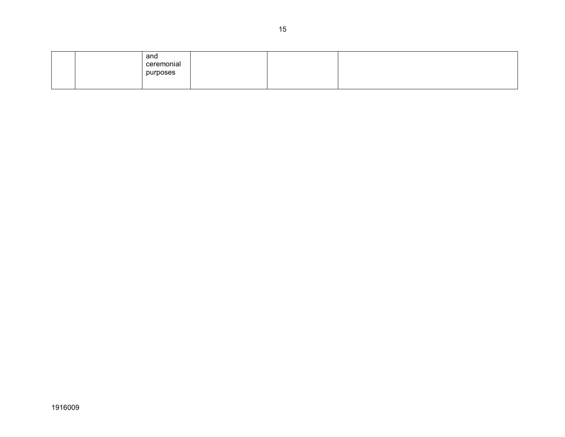|  | and<br>ceremonial<br>purposes |  |  |
|--|-------------------------------|--|--|
|  |                               |  |  |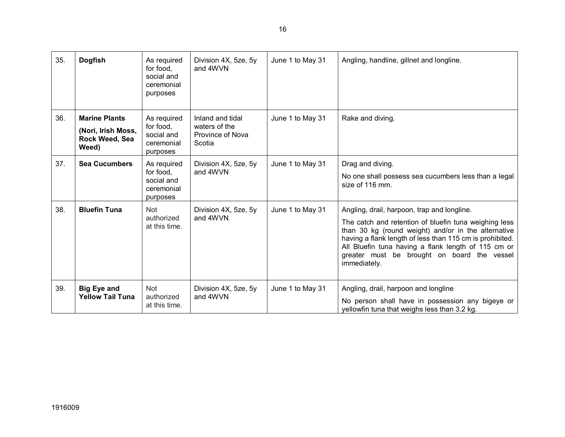| 35. | <b>Dogfish</b>                                                        | As required<br>for food,<br>social and<br>ceremonial<br>purposes | Division 4X, 5ze, 5y<br>and 4WVN                                | June 1 to May 31 | Angling, handline, gillnet and longline.                                                                                                                                                                                                                                                                                                      |
|-----|-----------------------------------------------------------------------|------------------------------------------------------------------|-----------------------------------------------------------------|------------------|-----------------------------------------------------------------------------------------------------------------------------------------------------------------------------------------------------------------------------------------------------------------------------------------------------------------------------------------------|
| 36. | <b>Marine Plants</b><br>(Nori, Irish Moss,<br>Rock Weed, Sea<br>Weed) | As required<br>for food,<br>social and<br>ceremonial<br>purposes | Inland and tidal<br>waters of the<br>Province of Nova<br>Scotia | June 1 to May 31 | Rake and diving.                                                                                                                                                                                                                                                                                                                              |
| 37. | <b>Sea Cucumbers</b>                                                  | As required<br>for food,<br>social and<br>ceremonial<br>purposes | Division 4X, 5ze, 5y<br>and 4WVN                                | June 1 to May 31 | Drag and diving.<br>No one shall possess sea cucumbers less than a legal<br>size of 116 mm.                                                                                                                                                                                                                                                   |
| 38. | <b>Bluefin Tuna</b>                                                   | Not<br>authorized<br>at this time.                               | Division 4X, 5ze, 5y<br>and 4WVN                                | June 1 to May 31 | Angling, drail, harpoon, trap and longline.<br>The catch and retention of bluefin tuna weighing less<br>than 30 kg (round weight) and/or in the alternative<br>having a flank length of less than 115 cm is prohibited.<br>All Bluefin tuna having a flank length of 115 cm or<br>greater must be brought on board the vessel<br>immediately. |
| 39. | <b>Big Eye and</b><br><b>Yellow Tail Tuna</b>                         | <b>Not</b><br>authorized<br>at this time.                        | Division 4X, 5ze, 5y<br>and 4WVN                                | June 1 to May 31 | Angling, drail, harpoon and longline<br>No person shall have in possession any bigeye or<br>yellowfin tuna that weighs less than 3.2 kg.                                                                                                                                                                                                      |